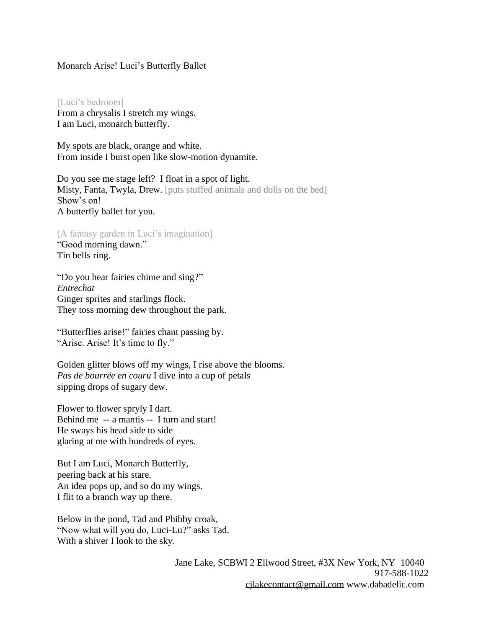## Monarch Arise! Luci's Butterfly Ballet

[Luci's bedroom] From a chrysalis I stretch my wings. I am Luci, monarch butterfly.

My spots are black, orange and white. From inside I burst open like slow-motion dynamite.

Do you see me stage left? I float in a spot of light. Misty, Fanta, Twyla, Drew. [puts stuffed animals and dolls on the bed] Show's on! A butterfly ballet for you.

[A fantasy garden in Luci's imagination] "Good morning dawn." Tin bells ring.

"Do you hear fairies chime and sing?" *Entrechat* Ginger sprites and starlings flock. They toss morning dew throughout the park.

"Butterflies arise!" fairies chant passing by. "Arise. Arise! It's time to fly."

Golden glitter blows off my wings, I rise above the blooms. *Pas de bourrée en couru* I dive into a cup of petals sipping drops of sugary dew.

Flower to flower spryly I dart. Behind me -- a mantis -- I turn and start! He sways his head side to side glaring at me with hundreds of eyes.

But I am Luci, Monarch Butterfly, peering back at his stare. An idea pops up, and so do my wings. I flit to a branch way up there.

Below in the pond, Tad and Phibby croak, "Now what will you do, Luci-Lu?" asks Tad. With a shiver I look to the sky.

> Jane Lake, SCBWI 2 Ellwood Street, #3X New York, NY 10040 917-588-1022 [cjlakecontact@gmail.com](mailto:cjlakecontact@gmail.com) [www.dabadelic.com](http://www.dabadelic.com/)